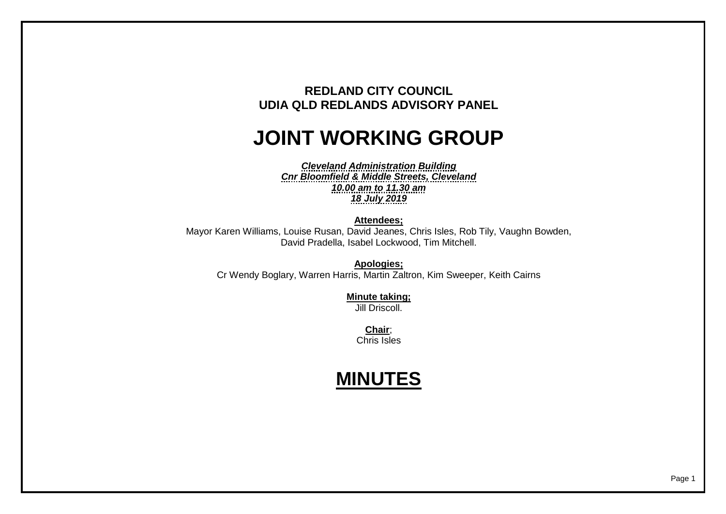## **REDLAND CITY COUNCIL UDIA QLD REDLANDS ADVISORY PANEL**

## **JOINT WORKING GROUP**

*Cleveland Administration Building Cnr Bloomfield & Middle Streets, Cleveland 10.00 am to 11.30 am 18 July 2019*

**Attendees;**

Mayor Karen Williams, Louise Rusan, David Jeanes, Chris Isles, Rob Tily, Vaughn Bowden, David Pradella, Isabel Lockwood, Tim Mitchell.

**Apologies;** Cr Wendy Boglary, Warren Harris, Martin Zaltron, Kim Sweeper, Keith Cairns

> **Minute taking;** Jill Driscoll.

**Chair**; Chris Isles

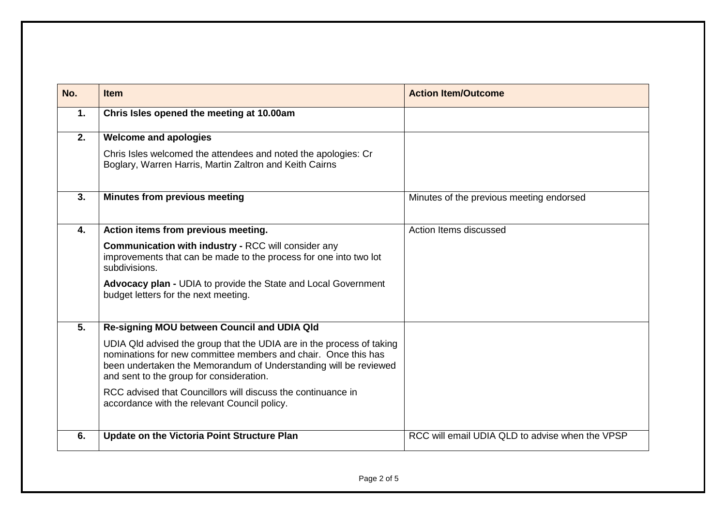| No. | <b>Item</b>                                                                                                                                                                                                                                             | <b>Action Item/Outcome</b>                      |
|-----|---------------------------------------------------------------------------------------------------------------------------------------------------------------------------------------------------------------------------------------------------------|-------------------------------------------------|
| 1.  | Chris Isles opened the meeting at 10.00am                                                                                                                                                                                                               |                                                 |
| 2.  | <b>Welcome and apologies</b>                                                                                                                                                                                                                            |                                                 |
|     | Chris Isles welcomed the attendees and noted the apologies: Cr<br>Boglary, Warren Harris, Martin Zaltron and Keith Cairns                                                                                                                               |                                                 |
| 3.  | <b>Minutes from previous meeting</b>                                                                                                                                                                                                                    | Minutes of the previous meeting endorsed        |
| 4.  | Action items from previous meeting.                                                                                                                                                                                                                     | Action Items discussed                          |
|     | <b>Communication with industry - RCC will consider any</b><br>improvements that can be made to the process for one into two lot<br>subdivisions.                                                                                                        |                                                 |
|     | <b>Advocacy plan - UDIA to provide the State and Local Government</b><br>budget letters for the next meeting.                                                                                                                                           |                                                 |
| 5.  | Re-signing MOU between Council and UDIA Qld                                                                                                                                                                                                             |                                                 |
|     | UDIA QId advised the group that the UDIA are in the process of taking<br>nominations for new committee members and chair. Once this has<br>been undertaken the Memorandum of Understanding will be reviewed<br>and sent to the group for consideration. |                                                 |
|     | RCC advised that Councillors will discuss the continuance in<br>accordance with the relevant Council policy.                                                                                                                                            |                                                 |
| 6.  | Update on the Victoria Point Structure Plan                                                                                                                                                                                                             | RCC will email UDIA QLD to advise when the VPSP |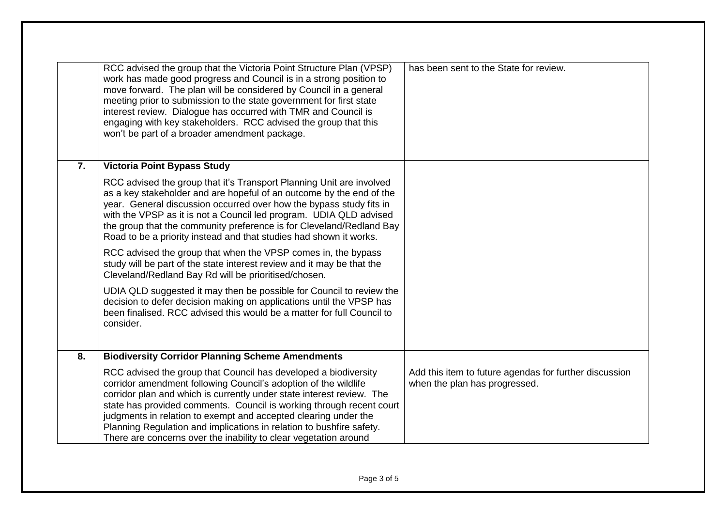|    | RCC advised the group that the Victoria Point Structure Plan (VPSP)<br>work has made good progress and Council is in a strong position to<br>move forward. The plan will be considered by Council in a general<br>meeting prior to submission to the state government for first state<br>interest review. Dialogue has occurred with TMR and Council is<br>engaging with key stakeholders. RCC advised the group that this<br>won't be part of a broader amendment package.                        | has been sent to the State for review.                                                  |
|----|----------------------------------------------------------------------------------------------------------------------------------------------------------------------------------------------------------------------------------------------------------------------------------------------------------------------------------------------------------------------------------------------------------------------------------------------------------------------------------------------------|-----------------------------------------------------------------------------------------|
| 7. | <b>Victoria Point Bypass Study</b>                                                                                                                                                                                                                                                                                                                                                                                                                                                                 |                                                                                         |
|    | RCC advised the group that it's Transport Planning Unit are involved<br>as a key stakeholder and are hopeful of an outcome by the end of the<br>year. General discussion occurred over how the bypass study fits in<br>with the VPSP as it is not a Council led program. UDIA QLD advised<br>the group that the community preference is for Cleveland/Redland Bay<br>Road to be a priority instead and that studies had shown it works.                                                            |                                                                                         |
|    | RCC advised the group that when the VPSP comes in, the bypass<br>study will be part of the state interest review and it may be that the<br>Cleveland/Redland Bay Rd will be prioritised/chosen.                                                                                                                                                                                                                                                                                                    |                                                                                         |
|    | UDIA QLD suggested it may then be possible for Council to review the<br>decision to defer decision making on applications until the VPSP has<br>been finalised. RCC advised this would be a matter for full Council to<br>consider.                                                                                                                                                                                                                                                                |                                                                                         |
| 8. | <b>Biodiversity Corridor Planning Scheme Amendments</b>                                                                                                                                                                                                                                                                                                                                                                                                                                            |                                                                                         |
|    | RCC advised the group that Council has developed a biodiversity<br>corridor amendment following Council's adoption of the wildlife<br>corridor plan and which is currently under state interest review. The<br>state has provided comments. Council is working through recent court<br>judgments in relation to exempt and accepted clearing under the<br>Planning Regulation and implications in relation to bushfire safety.<br>There are concerns over the inability to clear vegetation around | Add this item to future agendas for further discussion<br>when the plan has progressed. |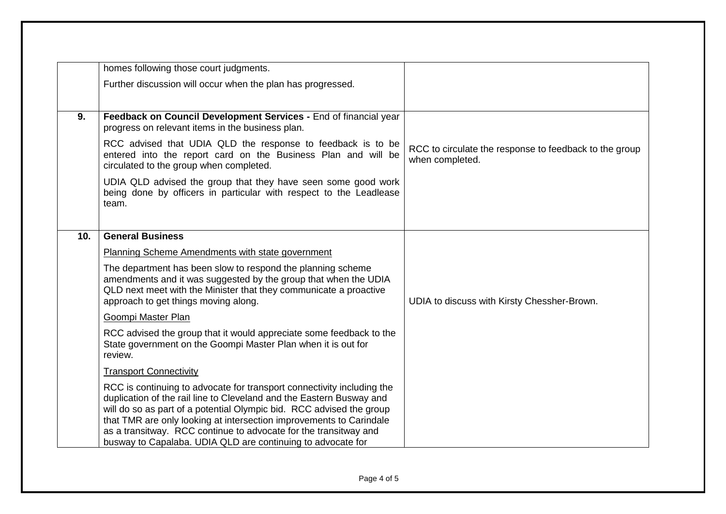|                 | homes following those court judgments.                                                                                                                                                                                                                                                                                                                                                                                           |                                                                           |
|-----------------|----------------------------------------------------------------------------------------------------------------------------------------------------------------------------------------------------------------------------------------------------------------------------------------------------------------------------------------------------------------------------------------------------------------------------------|---------------------------------------------------------------------------|
|                 | Further discussion will occur when the plan has progressed.                                                                                                                                                                                                                                                                                                                                                                      |                                                                           |
| 9.              | Feedback on Council Development Services - End of financial year<br>progress on relevant items in the business plan.                                                                                                                                                                                                                                                                                                             |                                                                           |
|                 | RCC advised that UDIA QLD the response to feedback is to be<br>entered into the report card on the Business Plan and will be<br>circulated to the group when completed.                                                                                                                                                                                                                                                          | RCC to circulate the response to feedback to the group<br>when completed. |
|                 | UDIA QLD advised the group that they have seen some good work<br>being done by officers in particular with respect to the Leadlease<br>team.                                                                                                                                                                                                                                                                                     |                                                                           |
| 10 <sub>1</sub> | <b>General Business</b>                                                                                                                                                                                                                                                                                                                                                                                                          |                                                                           |
|                 | Planning Scheme Amendments with state government                                                                                                                                                                                                                                                                                                                                                                                 |                                                                           |
|                 | The department has been slow to respond the planning scheme<br>amendments and it was suggested by the group that when the UDIA<br>QLD next meet with the Minister that they communicate a proactive<br>approach to get things moving along.                                                                                                                                                                                      | UDIA to discuss with Kirsty Chessher-Brown.                               |
|                 | Goompi Master Plan                                                                                                                                                                                                                                                                                                                                                                                                               |                                                                           |
|                 | RCC advised the group that it would appreciate some feedback to the<br>State government on the Goompi Master Plan when it is out for<br>review.                                                                                                                                                                                                                                                                                  |                                                                           |
|                 | <b>Transport Connectivity</b>                                                                                                                                                                                                                                                                                                                                                                                                    |                                                                           |
|                 | RCC is continuing to advocate for transport connectivity including the<br>duplication of the rail line to Cleveland and the Eastern Busway and<br>will do so as part of a potential Olympic bid. RCC advised the group<br>that TMR are only looking at intersection improvements to Carindale<br>as a transitway. RCC continue to advocate for the transitway and<br>busway to Capalaba. UDIA QLD are continuing to advocate for |                                                                           |